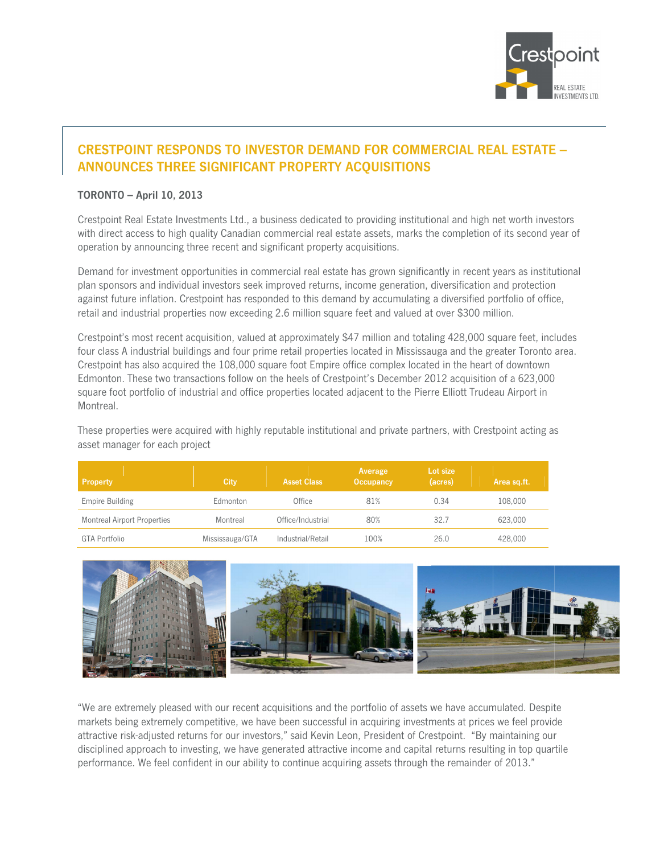

# **CRESTPOINT RESPONDS TO INVESTOR DEMAND FOR COMMERCIAL REAL ESTATE -**ANNOUNCES THREE SIGNIFICANT PROPERTY ACQUISITIONS

### **TORONTO - April 10, 2013**

Crestpoint Real Estate Investments Ltd., a business dedicated to providing institutional and high net worth investors with direct access to high quality Canadian commercial real estate assets, marks the completion of its second year of operation by announcing three recent and significant property acquisitions.

Demand for investment opportunities in commercial real estate has grown significantly in recent years as institutional plan sponsors and individual investors seek improved returns, income generation, diversification and protection against future inflation. Crestpoint has responded to this demand by accumulating a diversified portfolio of office, retail and industrial properties now exceeding 2.6 million square feet and valued at over \$300 million.

Crestpoint's most recent acquisition, valued at approximately \$47 million and totaling 428,000 square feet, includes four class A industrial buildings and four prime retail properties located in Mississauga and the greater Toronto area. Crestpoint has also acquired the 108,000 square foot Empire office complex located in the heart of downtown Edmonton. These two transactions follow on the heels of Crestpoint's December 2012 acquisition of a 623,000 square foot portfolio of industrial and office properties located adjacent to the Pierre Elliott Trudeau Airport in Montreal.

These properties were acquired with highly reputable institutional and private partners, with Crestpoint acting as asset manager for each project

| <b>Property</b>                    | City            | <b>Asset Class</b> | Average<br><b>Occupancy</b> | Lot size<br>(acres) | Area sq.ft. |
|------------------------------------|-----------------|--------------------|-----------------------------|---------------------|-------------|
| Empire Building                    | Edmonton        | Office             | 81%                         | 0.34                | 108.000     |
| <b>Montreal Airport Properties</b> | Montreal        | Office/Industrial  | 80%                         | 32.7                | 623.000     |
| GTA Portfolio                      | Mississauga/GTA | Industrial/Retail  | 100%                        | 26.0                | 428,000     |



"We are extremely pleased with our recent acquisitions and the portfolio of assets we have accumulated. Despite markets being extremely competitive, we have been successful in acquiring investments at prices we feel provide attractive risk-adjusted returns for our investors," said Kevin Leon, President of Crestpoint. "By maintaining our disciplined approach to investing, we have generated attractive income and capital returns resulting in top quartile performance. We feel confident in our ability to continue acquiring assets through the remainder of 2013."